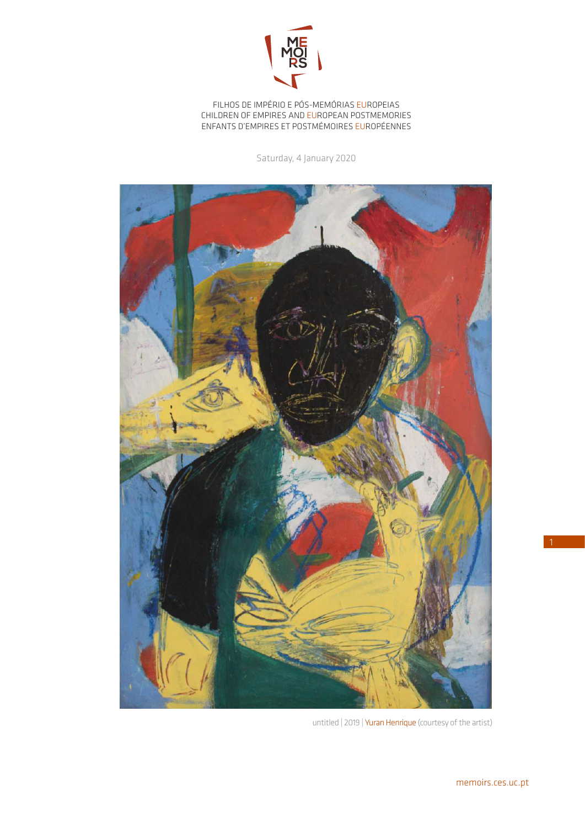

FILHOS DE IMPÉRIO E PÓS-MEMÓRIAS EUROPEIAS CHILDREN OF EMPIRES AND EUROPEAN POSTMEMORIES ENFANTS D'EMPIRES ET POSTMÉMOIRES EUROPÉENNES

Saturday, 4 January 2020



untitled | 2019 | Yuran Henrique (courtesy of the artist)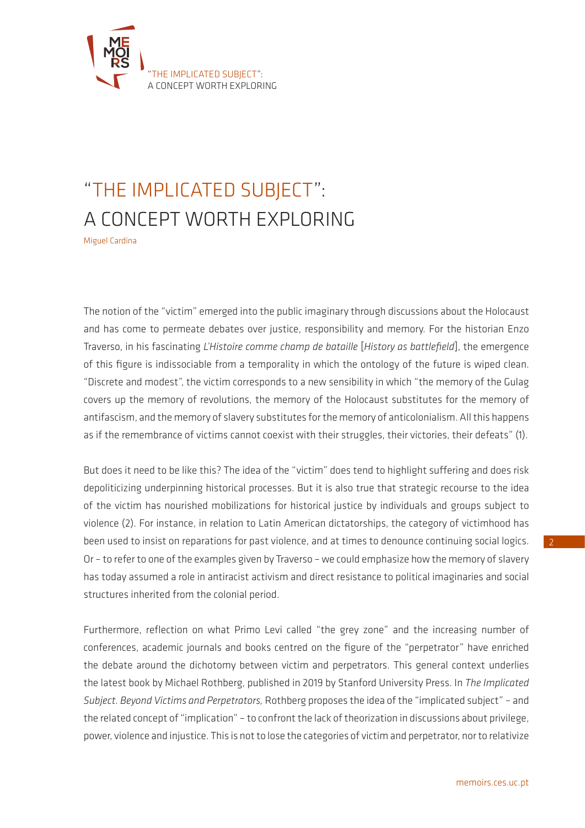

## "THE IMPLICATED SUBJECT": A CONCEPT WORTH EXPLORING

Miguel Cardina

The notion of the "victim" emerged into the public imaginary through discussions about the Holocaust and has come to permeate debates over justice, responsibility and memory. For the historian Enzo Traverso, in his fascinating *L'Histoire comme champ de bataille* [*History as battlefield*], the emergence of this figure is indissociable from a temporality in which the ontology of the future is wiped clean. "Discrete and modest", the victim corresponds to a new sensibility in which "the memory of the Gulag covers up the memory of revolutions, the memory of the Holocaust substitutes for the memory of antifascism, and the memory of slavery substitutes for the memory of anticolonialism. All this happens as if the remembrance of victims cannot coexist with their struggles, their victories, their defeats" (1).

But does it need to be like this? The idea of the "victim" does tend to highlight suffering and does risk depoliticizing underpinning historical processes. But it is also true that strategic recourse to the idea of the victim has nourished mobilizations for historical justice by individuals and groups subject to violence (2). For instance, in relation to Latin American dictatorships, the category of victimhood has been used to insist on reparations for past violence, and at times to denounce continuing social logics. Or – to refer to one of the examples given by Traverso – we could emphasize how the memory of slavery has today assumed a role in antiracist activism and direct resistance to political imaginaries and social structures inherited from the colonial period.

Furthermore, reflection on what Primo Levi called "the grey zone" and the increasing number of conferences, academic journals and books centred on the figure of the "perpetrator" have enriched the debate around the dichotomy between victim and perpetrators. This general context underlies the latest book by Michael Rothberg, published in 2019 by Stanford University Press. In *The Implicated Subject. Beyond Victims and Perpetrators,* Rothberg proposes the idea of the "implicated subject" – and the related concept of "implication" – to confront the lack of theorization in discussions about privilege, power, violence and injustice. This is not to lose the categories of victim and perpetrator, nor to relativize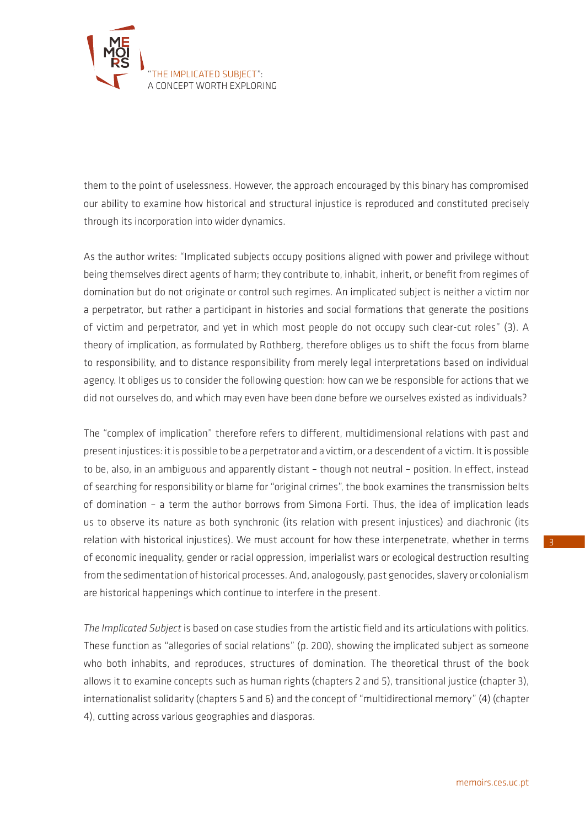

them to the point of uselessness. However, the approach encouraged by this binary has compromised our ability to examine how historical and structural injustice is reproduced and constituted precisely through its incorporation into wider dynamics.

As the author writes: "Implicated subjects occupy positions aligned with power and privilege without being themselves direct agents of harm; they contribute to, inhabit, inherit, or benefit from regimes of domination but do not originate or control such regimes. An implicated subject is neither a victim nor a perpetrator, but rather a participant in histories and social formations that generate the positions of victim and perpetrator, and yet in which most people do not occupy such clear-cut roles" (3). A theory of implication, as formulated by Rothberg, therefore obliges us to shift the focus from blame to responsibility, and to distance responsibility from merely legal interpretations based on individual agency. It obliges us to consider the following question: how can we be responsible for actions that we did not ourselves do, and which may even have been done before we ourselves existed as individuals?

The "complex of implication" therefore refers to different, multidimensional relations with past and present injustices: it is possible to be a perpetrator and a victim, or a descendent of a victim. It is possible to be, also, in an ambiguous and apparently distant – though not neutral – position. In effect, instead of searching for responsibility or blame for "original crimes", the book examines the transmission belts of domination – a term the author borrows from Simona Forti. Thus, the idea of implication leads us to observe its nature as both synchronic (its relation with present injustices) and diachronic (its relation with historical injustices). We must account for how these interpenetrate, whether in terms of economic inequality, gender or racial oppression, imperialist wars or ecological destruction resulting from the sedimentation of historical processes. And, analogously, past genocides, slavery or colonialism are historical happenings which continue to interfere in the present.

*The Implicated Subject* is based on case studies from the artistic field and its articulations with politics. These function as "allegories of social relations" (p. 200), showing the implicated subject as someone who both inhabits, and reproduces, structures of domination. The theoretical thrust of the book allows it to examine concepts such as human rights (chapters 2 and 5), transitional justice (chapter 3), internationalist solidarity (chapters 5 and 6) and the concept of "multidirectional memory" (4) (chapter 4), cutting across various geographies and diasporas.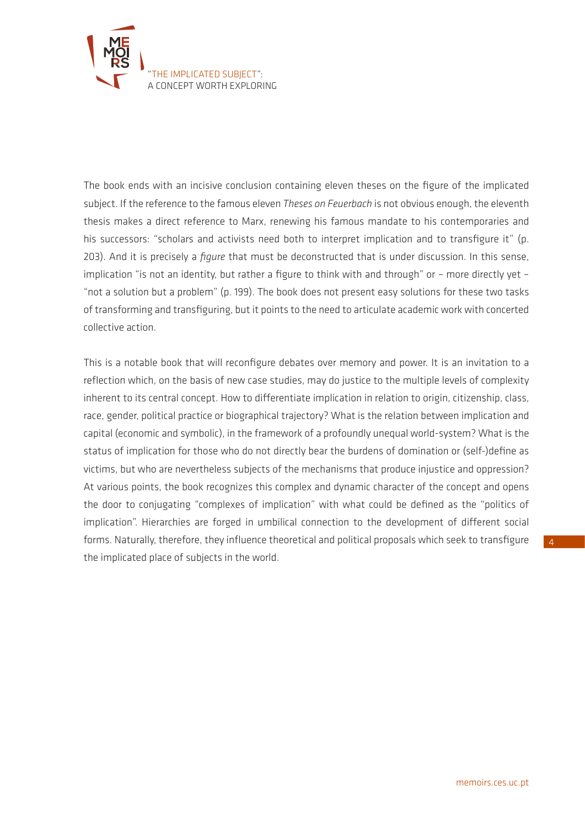

The book ends with an incisive conclusion containing eleven theses on the figure of the implicated subject. If the reference to the famous eleven *Theses on Feuerbach* is not obvious enough, the eleventh thesis makes a direct reference to Marx, renewing his famous mandate to his contemporaries and his successors: "scholars and activists need both to interpret implication and to transfigure it" (p. 203). And it is precisely a *figure* that must be deconstructed that is under discussion. In this sense, implication "is not an identity, but rather a figure to think with and through" or – more directly yet – "not a solution but a problem" (p. 199). The book does not present easy solutions for these two tasks of transforming and transfiguring, but it points to the need to articulate academic work with concerted collective action.

This is a notable book that will reconfigure debates over memory and power. It is an invitation to a reflection which, on the basis of new case studies, may do justice to the multiple levels of complexity inherent to its central concept. How to differentiate implication in relation to origin, citizenship, class, race, gender, political practice or biographical trajectory? What is the relation between implication and capital (economic and symbolic), in the framework of a profoundly unequal world-system? What is the status of implication for those who do not directly bear the burdens of domination or (self-)define as victims, but who are nevertheless subjects of the mechanisms that produce injustice and oppression? At various points, the book recognizes this complex and dynamic character of the concept and opens the door to conjugating "complexes of implication" with what could be defined as the "politics of implication". Hierarchies are forged in umbilical connection to the development of different social forms. Naturally, therefore, they influence theoretical and political proposals which seek to transfigure the implicated place of subjects in the world.